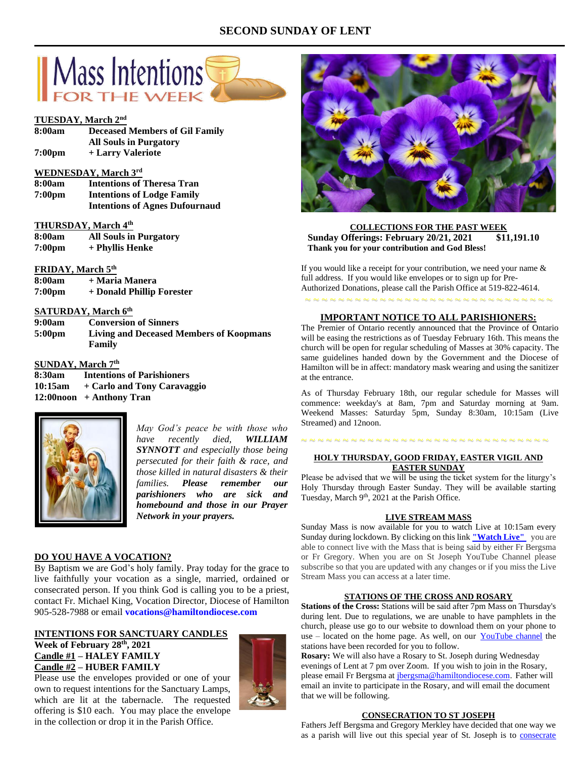# **SECOND SUNDAY OF LENT**



#### **TUESDAY, March 2nd**

| 8:00am             | <b>Deceased Members of Gil Family</b> |
|--------------------|---------------------------------------|
|                    | <b>All Souls in Purgatory</b>         |
| 7:00 <sub>pm</sub> | + Larry Valeriote                     |

# **WEDNESDAY, March 3rd**

**8:00am Intentions of Theresa Tran 7:00pm Intentions of Lodge Family Intentions of Agnes Dufournaud**

#### **THURSDAY, March 4th**

| 8:00am             | <b>All Souls in Purgatory</b> |
|--------------------|-------------------------------|
| 7:00 <sub>pm</sub> | + Phyllis Henke               |

## **FRIDAY, March 5th**

| 8:00am             | + Maria Manera            |
|--------------------|---------------------------|
| 7:00 <sub>pm</sub> | + Donald Phillip Forester |

# **SATURDAY, March 6th**

| 9:00am             | <b>Conversion of Sinners</b>                   |
|--------------------|------------------------------------------------|
| 5:00 <sub>pm</sub> | <b>Living and Deceased Members of Koopmans</b> |
|                    | Family                                         |

# **SUNDAY, March 7th**

**8:30am Intentions of Parishioners 10:15am + Carlo and Tony Caravaggio 12:00noon + Anthony Tran**



*May God's peace be with those who have recently died, WILLIAM SYNNOTT and especially those being persecuted for their faith & race, and those killed in natural disasters & their families. Please remember our parishioners who are sick and homebound and those in our Prayer Network in your prayers.*

## **DO YOU HAVE A VOCATION?**

By Baptism we are God's holy family. Pray today for the grace to live faithfully your vocation as a single, married, ordained or consecrated person. If you think God is calling you to be a priest, contact Fr. Michael King, Vocation Director, Diocese of Hamilton 905-528-7988 or email **vocations@hamiltondiocese.com** 

## **INTENTIONS FOR SANCTUARY CANDLES Week of February 28 th, 2021 Candle #1 – HALEY FAMILY Candle #2 – HUBER FAMILY**

Please use the envelopes provided or one of your own to request intentions for the Sanctuary Lamps, which are lit at the tabernacle. The requested offering is \$10 each. You may place the envelope in the collection or drop it in the Parish Office.





**COLLECTIONS FOR THE PAST WEEK Sunday Offerings: February 20/21, 2021 \$11,191.10 Thank you for your contribution and God Bless!**

If you would like a receipt for your contribution, we need your name & full address. If you would like envelopes or to sign up for Pre-Authorized Donations, please call the Parish Office at 519-822-4614.

~ ~ ~ ~ ~ ~ ~ ~ ~ ~ ~ ~ ~ ~ ~ ~ ~ ~ ~ ~ ~ ~ ~ ~ ~ ~ ~ ~ ~ ~

# **IMPORTANT NOTICE TO ALL PARISHIONERS:**

The Premier of Ontario recently announced that the Province of Ontario will be easing the restrictions as of Tuesday February 16th. This means the church will be open for regular scheduling of Masses at 30% capacity. The same guidelines handed down by the Government and the Diocese of Hamilton will be in affect: mandatory mask wearing and using the sanitizer at the entrance.

As of Thursday February 18th, our regular schedule for Masses will commence: weekday's at 8am, 7pm and Saturday morning at 9am. Weekend Masses: Saturday 5pm, Sunday 8:30am, 10:15am (Live Streamed) and 12noon.

# ~ ~ ~ ~ ~ ~ ~ ~ ~ ~ ~ ~ ~ ~ ~ ~ ~ ~ ~ ~ ~ ~ ~ ~ ~ ~ ~ ~ ~ ~

## **HOLY THURSDAY, GOOD FRIDAY, EASTER VIGIL AND EASTER SUNDAY**

Please be advised that we will be using the ticket system for the liturgy's Holy Thursday through Easter Sunday. They will be available starting Tuesday, March 9<sup>th</sup>, 2021 at the Parish Office.

#### **LIVE STREAM MASS**

Sunday Mass is now available for you to watch Live at 10:15am every Sunday during lockdown. By clicking on this link **["Watch](https://www.youtube.com/channel/UCL59hxegD__FDJSdMDrt31w) Live"** you are able to connect live with the Mass that is being said by either Fr Bergsma or Fr Gregory. When you are on St Joseph YouTube Channel please subscribe so that you are updated with any changes or if you miss the Live Stream Mass you can access at a later time.

#### **STATIONS OF THE CROSS AND ROSARY**

**Stations of the Cross:** Stations will be said after 7pm Mass on Thursday's during lent. Due to regulations, we are unable to have pamphlets in the church, please use go to our website to download them on your phone to use – located on the home page. As well, on our [YouTube channel](https://www.youtube.com/channel/UCL59hxegD__FDJSdMDrt31w) the stations have been recorded for you to follow.

**Rosary:** We will also have a Rosary to St. Joseph during Wednesday evenings of Lent at 7 pm over Zoom. If you wish to join in the Rosary, please email Fr Bergsma at [jbergsma@hamiltondiocese.com.](mailto:jbergsma@hamiltondiocese.com) Father will email an invite to participate in the Rosary, and will email the document that we will be following.

#### **CONSECRATION TO ST JOSEPH**

Fathers Jeff Bergsma and Gregory Merkley have decided that one way we as a parish will live out this special year of St. Joseph is to [consecrate](https://www.consecrationtostjoseph.org/introduction.html)